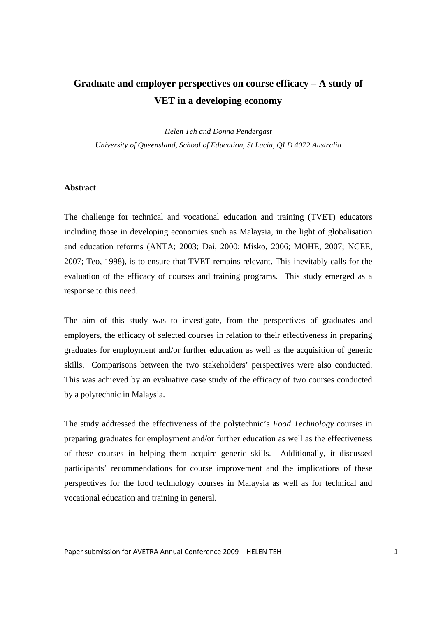# **Graduate and employer perspectives on course efficacy – A study of VET in a developing economy**

*Helen Teh and Donna Pendergast University of Queensland, School of Education, St Lucia, QLD 4072 Australia* 

#### **Abstract**

The challenge for technical and vocational education and training (TVET) educators including those in developing economies such as Malaysia, in the light of globalisation and education reforms (ANTA; 2003; Dai, 2000; Misko, 2006; MOHE, 2007; NCEE, 2007; Teo, 1998), is to ensure that TVET remains relevant. This inevitably calls for the evaluation of the efficacy of courses and training programs. This study emerged as a response to this need.

The aim of this study was to investigate, from the perspectives of graduates and employers, the efficacy of selected courses in relation to their effectiveness in preparing graduates for employment and/or further education as well as the acquisition of generic skills. Comparisons between the two stakeholders' perspectives were also conducted. This was achieved by an evaluative case study of the efficacy of two courses conducted by a polytechnic in Malaysia.

The study addressed the effectiveness of the polytechnic's *Food Technology* courses in preparing graduates for employment and/or further education as well as the effectiveness of these courses in helping them acquire generic skills. Additionally, it discussed participants' recommendations for course improvement and the implications of these perspectives for the food technology courses in Malaysia as well as for technical and vocational education and training in general.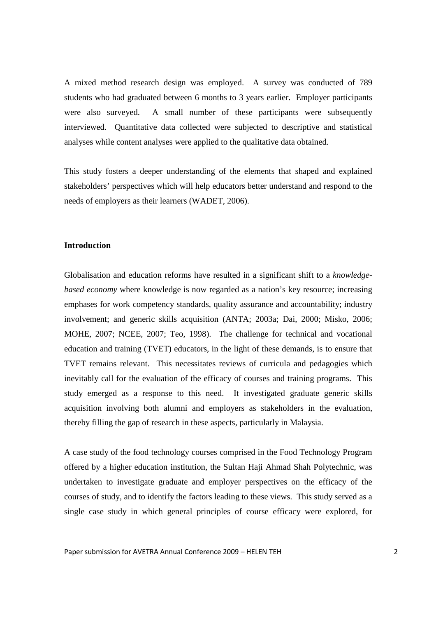A mixed method research design was employed. A survey was conducted of 789 students who had graduated between 6 months to 3 years earlier. Employer participants were also surveyed. A small number of these participants were subsequently interviewed. Quantitative data collected were subjected to descriptive and statistical analyses while content analyses were applied to the qualitative data obtained.

This study fosters a deeper understanding of the elements that shaped and explained stakeholders' perspectives which will help educators better understand and respond to the needs of employers as their learners (WADET, 2006).

## **Introduction**

Globalisation and education reforms have resulted in a significant shift to a *knowledgebased economy* where knowledge is now regarded as a nation's key resource; increasing emphases for work competency standards, quality assurance and accountability; industry involvement; and generic skills acquisition (ANTA; 2003a; Dai, 2000; Misko, 2006; MOHE, 2007; NCEE, 2007; Teo, 1998). The challenge for technical and vocational education and training (TVET) educators, in the light of these demands, is to ensure that TVET remains relevant. This necessitates reviews of curricula and pedagogies which inevitably call for the evaluation of the efficacy of courses and training programs. This study emerged as a response to this need. It investigated graduate generic skills acquisition involving both alumni and employers as stakeholders in the evaluation, thereby filling the gap of research in these aspects, particularly in Malaysia.

A case study of the food technology courses comprised in the Food Technology Program offered by a higher education institution, the Sultan Haji Ahmad Shah Polytechnic, was undertaken to investigate graduate and employer perspectives on the efficacy of the courses of study, and to identify the factors leading to these views. This study served as a single case study in which general principles of course efficacy were explored, for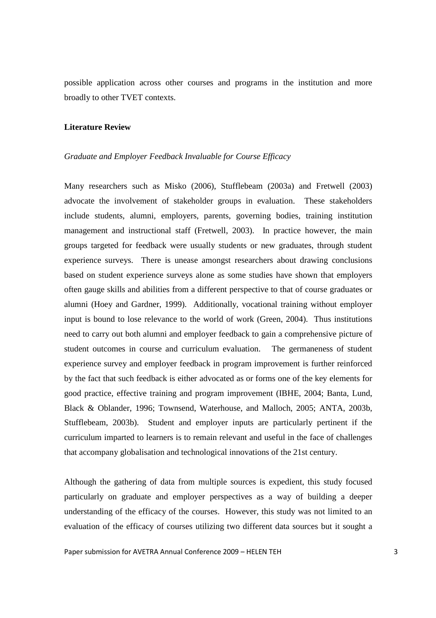possible application across other courses and programs in the institution and more broadly to other TVET contexts.

# **Literature Review**

#### *Graduate and Employer Feedback Invaluable for Course Efficacy*

Many researchers such as Misko (2006), Stufflebeam (2003a) and Fretwell (2003) advocate the involvement of stakeholder groups in evaluation. These stakeholders include students, alumni, employers, parents, governing bodies, training institution management and instructional staff (Fretwell, 2003). In practice however, the main groups targeted for feedback were usually students or new graduates, through student experience surveys. There is unease amongst researchers about drawing conclusions based on student experience surveys alone as some studies have shown that employers often gauge skills and abilities from a different perspective to that of course graduates or alumni (Hoey and Gardner, 1999). Additionally, vocational training without employer input is bound to lose relevance to the world of work (Green, 2004). Thus institutions need to carry out both alumni and employer feedback to gain a comprehensive picture of student outcomes in course and curriculum evaluation. The germaneness of student experience survey and employer feedback in program improvement is further reinforced by the fact that such feedback is either advocated as or forms one of the key elements for good practice, effective training and program improvement (IBHE, 2004; Banta, Lund, Black & Oblander, 1996; Townsend, Waterhouse, and Malloch, 2005; ANTA, 2003b, Stufflebeam, 2003b). Student and employer inputs are particularly pertinent if the curriculum imparted to learners is to remain relevant and useful in the face of challenges that accompany globalisation and technological innovations of the 21st century.

Although the gathering of data from multiple sources is expedient, this study focused particularly on graduate and employer perspectives as a way of building a deeper understanding of the efficacy of the courses. However, this study was not limited to an evaluation of the efficacy of courses utilizing two different data sources but it sought a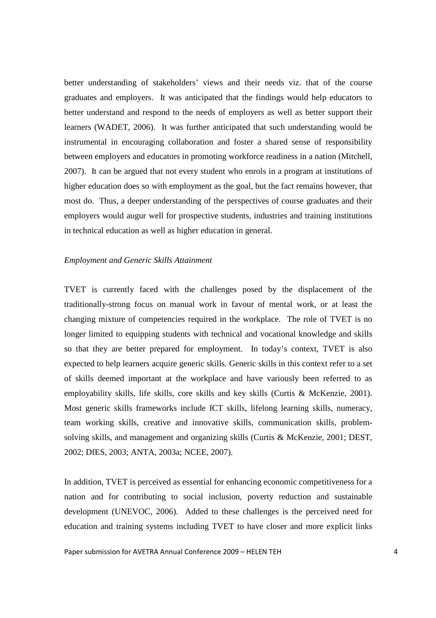better understanding of stakeholders' views and their needs viz. that of the course graduates and employers. It was anticipated that the findings would help educators to better understand and respond to the needs of employers as well as better support their learners (WADET, 2006). It was further anticipated that such understanding would be instrumental in encouraging collaboration and foster a shared sense of responsibility between employers and educators in promoting workforce readiness in a nation (Mitchell, 2007). It can be argued that not every student who enrols in a program at institutions of higher education does so with employment as the goal, but the fact remains however, that most do. Thus, a deeper understanding of the perspectives of course graduates and their employers would augur well for prospective students, industries and training institutions in technical education as well as higher education in general.

## *Employment and Generic Skills Attainment*

TVET is currently faced with the challenges posed by the displacement of the traditionally-strong focus on manual work in favour of mental work, or at least the changing mixture of competencies required in the workplace. The role of TVET is no longer limited to equipping students with technical and vocational knowledge and skills so that they are better prepared for employment. In today's context, TVET is also expected to help learners acquire generic skills. Generic skills in this context refer to a set of skills deemed important at the workplace and have variously been referred to as employability skills, life skills, core skills and key skills (Curtis & McKenzie, 2001). Most generic skills frameworks include ICT skills, lifelong learning skills, numeracy, team working skills, creative and innovative skills, communication skills, problemsolving skills, and management and organizing skills (Curtis & McKenzie, 2001; DEST, 2002; DfES, 2003; ANTA, 2003a; NCEE, 2007).

In addition, TVET is perceived as essential for enhancing economic competitiveness for a nation and for contributing to social inclusion, poverty reduction and sustainable development (UNEVOC, 2006). Added to these challenges is the perceived need for education and training systems including TVET to have closer and more explicit links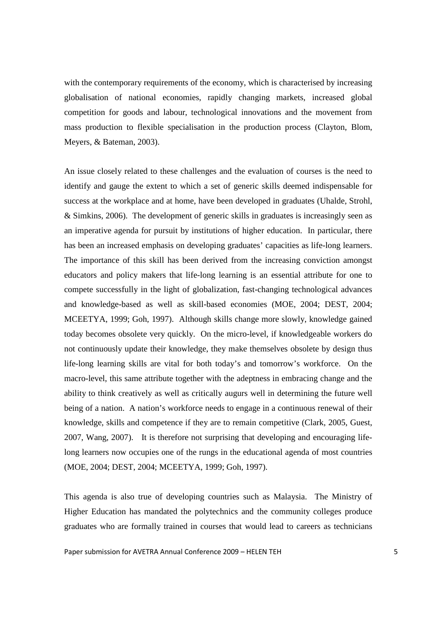with the contemporary requirements of the economy, which is characterised by increasing globalisation of national economies, rapidly changing markets, increased global competition for goods and labour, technological innovations and the movement from mass production to flexible specialisation in the production process (Clayton, Blom, Meyers, & Bateman, 2003).

An issue closely related to these challenges and the evaluation of courses is the need to identify and gauge the extent to which a set of generic skills deemed indispensable for success at the workplace and at home, have been developed in graduates (Uhalde, Strohl, & Simkins, 2006). The development of generic skills in graduates is increasingly seen as an imperative agenda for pursuit by institutions of higher education. In particular, there has been an increased emphasis on developing graduates' capacities as life-long learners. The importance of this skill has been derived from the increasing conviction amongst educators and policy makers that life-long learning is an essential attribute for one to compete successfully in the light of globalization, fast-changing technological advances and knowledge-based as well as skill-based economies (MOE, 2004; DEST, 2004; MCEETYA, 1999; Goh, 1997). Although skills change more slowly, knowledge gained today becomes obsolete very quickly. On the micro-level, if knowledgeable workers do not continuously update their knowledge, they make themselves obsolete by design thus life-long learning skills are vital for both today's and tomorrow's workforce. On the macro-level, this same attribute together with the adeptness in embracing change and the ability to think creatively as well as critically augurs well in determining the future well being of a nation. A nation's workforce needs to engage in a continuous renewal of their knowledge, skills and competence if they are to remain competitive (Clark, 2005, Guest, 2007, Wang, 2007). It is therefore not surprising that developing and encouraging lifelong learners now occupies one of the rungs in the educational agenda of most countries (MOE, 2004; DEST, 2004; MCEETYA, 1999; Goh, 1997).

This agenda is also true of developing countries such as Malaysia. The Ministry of Higher Education has mandated the polytechnics and the community colleges produce graduates who are formally trained in courses that would lead to careers as technicians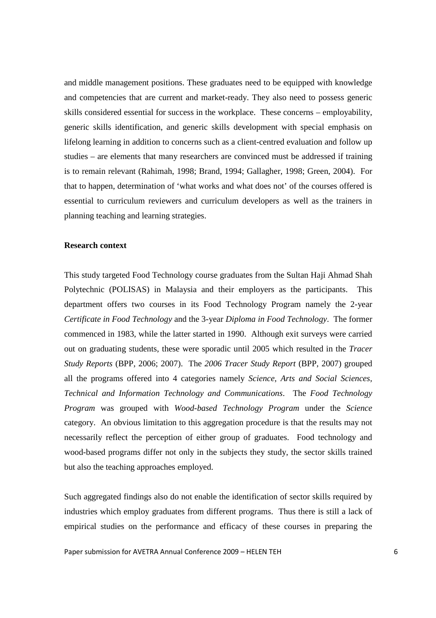and middle management positions. These graduates need to be equipped with knowledge and competencies that are current and market-ready. They also need to possess generic skills considered essential for success in the workplace. These concerns – employability, generic skills identification, and generic skills development with special emphasis on lifelong learning in addition to concerns such as a client-centred evaluation and follow up studies – are elements that many researchers are convinced must be addressed if training is to remain relevant (Rahimah, 1998; Brand, 1994; Gallagher, 1998; Green, 2004). For that to happen, determination of 'what works and what does not' of the courses offered is essential to curriculum reviewers and curriculum developers as well as the trainers in planning teaching and learning strategies.

# **Research context**

This study targeted Food Technology course graduates from the Sultan Haji Ahmad Shah Polytechnic (POLISAS) in Malaysia and their employers as the participants. This department offers two courses in its Food Technology Program namely the 2-year *Certificate in Food Technology* and the 3-year *Diploma in Food Technology*. The former commenced in 1983, while the latter started in 1990. Although exit surveys were carried out on graduating students, these were sporadic until 2005 which resulted in the *Tracer Study Reports* (BPP, 2006; 2007). The *2006 Tracer Study Report* (BPP, 2007) grouped all the programs offered into 4 categories namely *Science, Arts and Social Sciences, Technical and Information Technology and Communications*. The *Food Technology Program* was grouped with *Wood-based Technology Program* under the *Science* category. An obvious limitation to this aggregation procedure is that the results may not necessarily reflect the perception of either group of graduates. Food technology and wood-based programs differ not only in the subjects they study, the sector skills trained but also the teaching approaches employed.

Such aggregated findings also do not enable the identification of sector skills required by industries which employ graduates from different programs. Thus there is still a lack of empirical studies on the performance and efficacy of these courses in preparing the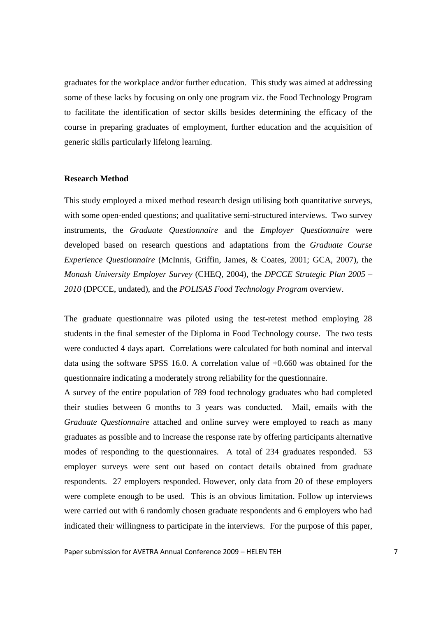graduates for the workplace and/or further education. This study was aimed at addressing some of these lacks by focusing on only one program viz. the Food Technology Program to facilitate the identification of sector skills besides determining the efficacy of the course in preparing graduates of employment, further education and the acquisition of generic skills particularly lifelong learning.

## **Research Method**

This study employed a mixed method research design utilising both quantitative surveys, with some open-ended questions; and qualitative semi-structured interviews. Two survey instruments, the *Graduate Questionnaire* and the *Employer Questionnaire* were developed based on research questions and adaptations from the *Graduate Course Experience Questionnaire* (McInnis, Griffin, James, & Coates, 2001; GCA, 2007), the *Monash University Employer Survey* (CHEQ, 2004), the *DPCCE Strategic Plan 2005 – 2010* (DPCCE, undated), and the *POLISAS Food Technology Program* overview.

The graduate questionnaire was piloted using the test-retest method employing 28 students in the final semester of the Diploma in Food Technology course. The two tests were conducted 4 days apart. Correlations were calculated for both nominal and interval data using the software SPSS 16.0. A correlation value of +0.660 was obtained for the questionnaire indicating a moderately strong reliability for the questionnaire.

A survey of the entire population of 789 food technology graduates who had completed their studies between 6 months to 3 years was conducted. Mail, emails with the *Graduate Questionnaire* attached and online survey were employed to reach as many graduates as possible and to increase the response rate by offering participants alternative modes of responding to the questionnaires. A total of 234 graduates responded. 53 employer surveys were sent out based on contact details obtained from graduate respondents. 27 employers responded. However, only data from 20 of these employers were complete enough to be used. This is an obvious limitation. Follow up interviews were carried out with 6 randomly chosen graduate respondents and 6 employers who had indicated their willingness to participate in the interviews. For the purpose of this paper,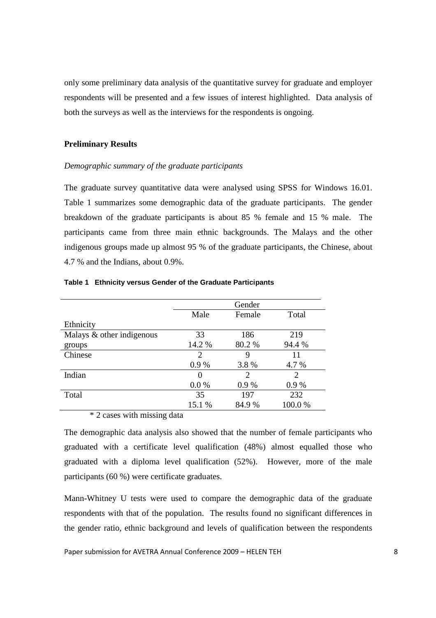only some preliminary data analysis of the quantitative survey for graduate and employer respondents will be presented and a few issues of interest highlighted. Data analysis of both the surveys as well as the interviews for the respondents is ongoing.

# **Preliminary Results**

## *Demographic summary of the graduate participants*

The graduate survey quantitative data were analysed using SPSS for Windows 16.01. Table 1 summarizes some demographic data of the graduate participants. The gender breakdown of the graduate participants is about 85 % female and 15 % male. The participants came from three main ethnic backgrounds. The Malays and the other indigenous groups made up almost 95 % of the graduate participants, the Chinese, about 4.7 % and the Indians, about 0.9%.

|                           | Gender                  |        |                       |  |
|---------------------------|-------------------------|--------|-----------------------|--|
|                           | Male<br>Total<br>Female |        |                       |  |
| Ethnicity                 |                         |        |                       |  |
| Malays & other indigenous | 33                      | 186    | 219                   |  |
| groups                    | 14.2 %                  | 80.2 % | 94.4 %                |  |
| Chinese                   | 2                       | 9      | 11                    |  |
|                           | 0.9%                    | 3.8%   | 4.7 %                 |  |
| Indian                    | 0                       | 2      | $\mathcal{D}_{\cdot}$ |  |
|                           | 0.0 %                   | 0.9%   | 0.9%                  |  |
| Total                     | 35                      | 197    | 232                   |  |
|                           | 15.1 %                  | 84.9%  | 100.0%                |  |

#### **Table 1 Ethnicity versus Gender of the Graduate Participants**

\* 2 cases with missing data

The demographic data analysis also showed that the number of female participants who graduated with a certificate level qualification (48%) almost equalled those who graduated with a diploma level qualification (52%). However, more of the male participants (60 %) were certificate graduates.

Mann-Whitney U tests were used to compare the demographic data of the graduate respondents with that of the population. The results found no significant differences in the gender ratio, ethnic background and levels of qualification between the respondents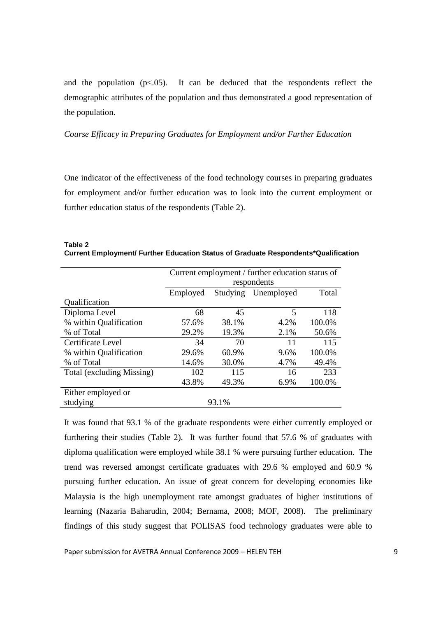and the population  $(p<.05)$ . It can be deduced that the respondents reflect the demographic attributes of the population and thus demonstrated a good representation of the population.

*Course Efficacy in Preparing Graduates for Employment and/or Further Education* 

One indicator of the effectiveness of the food technology courses in preparing graduates for employment and/or further education was to look into the current employment or further education status of the respondents (Table 2).

**Table 2 Current Employment/ Further Education Status of Graduate Respondents\*Qualification** 

|                           | Current employment / further education status of<br>respondents |       |      |        |  |
|---------------------------|-----------------------------------------------------------------|-------|------|--------|--|
|                           | Total<br>Studying Unemployed<br>Employed                        |       |      |        |  |
| Qualification             |                                                                 |       |      |        |  |
| Diploma Level             | 68                                                              | 45    | 5    | 118    |  |
| % within Qualification    | 57.6%                                                           | 38.1% | 4.2% | 100.0% |  |
| % of Total                | 29.2%                                                           | 19.3% | 2.1% | 50.6%  |  |
| Certificate Level         | 34                                                              | 70    | 11   | 115    |  |
| % within Qualification    | 29.6%                                                           | 60.9% | 9.6% | 100.0% |  |
| % of Total                | 14.6%                                                           | 30.0% | 4.7% | 49.4%  |  |
| Total (excluding Missing) | 102                                                             | 115   | 16   | 233    |  |
|                           | 43.8%                                                           | 49.3% | 6.9% | 100.0% |  |
| Either employed or        |                                                                 |       |      |        |  |
| studying                  | 93.1%                                                           |       |      |        |  |

It was found that 93.1 % of the graduate respondents were either currently employed or furthering their studies (Table 2). It was further found that 57.6 % of graduates with diploma qualification were employed while 38.1 % were pursuing further education. The trend was reversed amongst certificate graduates with 29.6 % employed and 60.9 % pursuing further education. An issue of great concern for developing economies like Malaysia is the high unemployment rate amongst graduates of higher institutions of learning (Nazaria Baharudin, 2004; Bernama, 2008; MOF, 2008). The preliminary findings of this study suggest that POLISAS food technology graduates were able to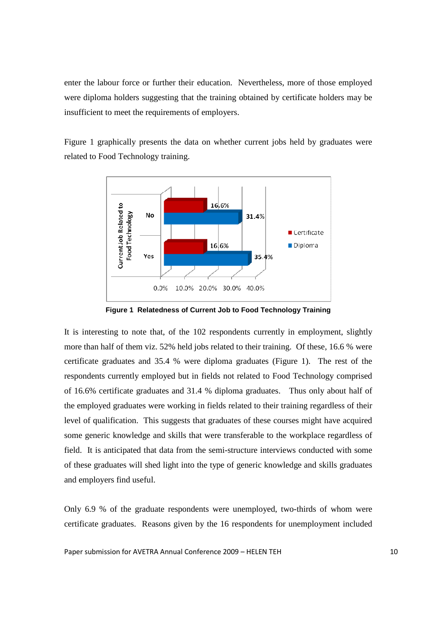enter the labour force or further their education. Nevertheless, more of those employed were diploma holders suggesting that the training obtained by certificate holders may be insufficient to meet the requirements of employers.

Figure 1 graphically presents the data on whether current jobs held by graduates were related to Food Technology training.



**Figure 1 Relatedness of Current Job to Food Technology Training** 

It is interesting to note that, of the 102 respondents currently in employment, slightly more than half of them viz. 52% held jobs related to their training. Of these, 16.6 % were certificate graduates and 35.4 % were diploma graduates (Figure 1). The rest of the respondents currently employed but in fields not related to Food Technology comprised of 16.6% certificate graduates and 31.4 % diploma graduates. Thus only about half of the employed graduates were working in fields related to their training regardless of their level of qualification. This suggests that graduates of these courses might have acquired some generic knowledge and skills that were transferable to the workplace regardless of field. It is anticipated that data from the semi-structure interviews conducted with some of these graduates will shed light into the type of generic knowledge and skills graduates and employers find useful.

Only 6.9 % of the graduate respondents were unemployed, two-thirds of whom were certificate graduates. Reasons given by the 16 respondents for unemployment included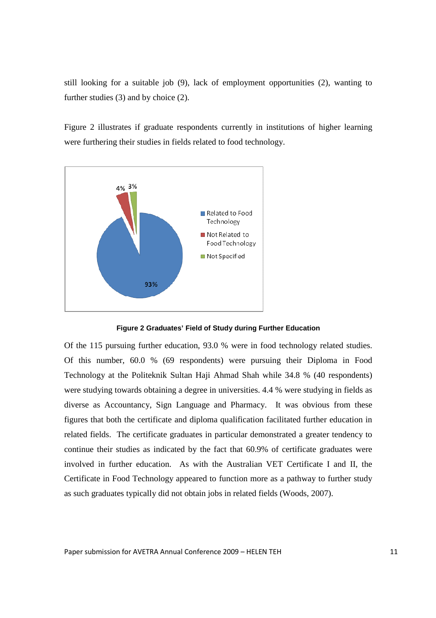still looking for a suitable job (9), lack of employment opportunities (2), wanting to further studies (3) and by choice (2).

Figure 2 illustrates if graduate respondents currently in institutions of higher learning were furthering their studies in fields related to food technology.



**Figure 2 Graduates' Field of Study during Further Education** 

Of the 115 pursuing further education, 93.0 % were in food technology related studies. Of this number, 60.0 % (69 respondents) were pursuing their Diploma in Food Technology at the Politeknik Sultan Haji Ahmad Shah while 34.8 % (40 respondents) were studying towards obtaining a degree in universities. 4.4 % were studying in fields as diverse as Accountancy, Sign Language and Pharmacy. It was obvious from these figures that both the certificate and diploma qualification facilitated further education in related fields. The certificate graduates in particular demonstrated a greater tendency to continue their studies as indicated by the fact that 60.9% of certificate graduates were involved in further education. As with the Australian VET Certificate I and II, the Certificate in Food Technology appeared to function more as a pathway to further study as such graduates typically did not obtain jobs in related fields (Woods, 2007).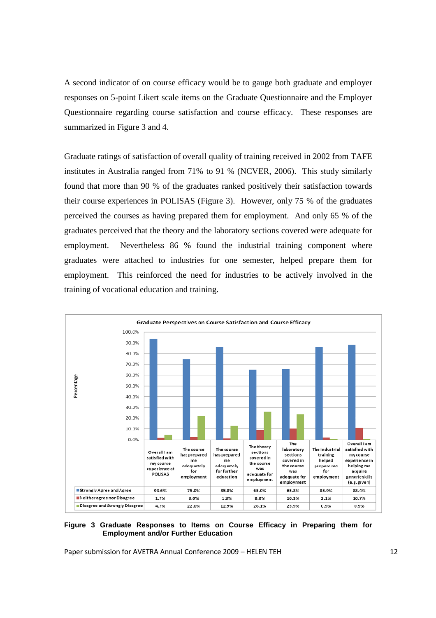A second indicator of on course efficacy would be to gauge both graduate and employer responses on 5-point Likert scale items on the Graduate Questionnaire and the Employer Questionnaire regarding course satisfaction and course efficacy. These responses are summarized in Figure 3 and 4.

Graduate ratings of satisfaction of overall quality of training received in 2002 from TAFE institutes in Australia ranged from 71% to 91 % (NCVER, 2006). This study similarly found that more than 90 % of the graduates ranked positively their satisfaction towards their course experiences in POLISAS (Figure 3). However, only 75 % of the graduates perceived the courses as having prepared them for employment. And only 65 % of the graduates perceived that the theory and the laboratory sections covered were adequate for employment. Nevertheless 86 % found the industrial training component where graduates were attached to industries for one semester, helped prepare them for employment. This reinforced the need for industries to be actively involved in the training of vocational education and training.



#### **Figure 3 Graduate Responses to Items on Course Efficacy in Preparing them for Employment and/or Further Education**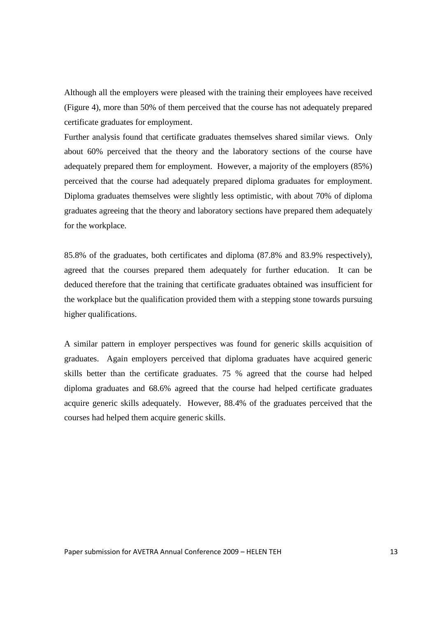Although all the employers were pleased with the training their employees have received (Figure 4), more than 50% of them perceived that the course has not adequately prepared certificate graduates for employment.

Further analysis found that certificate graduates themselves shared similar views. Only about 60% perceived that the theory and the laboratory sections of the course have adequately prepared them for employment. However, a majority of the employers (85%) perceived that the course had adequately prepared diploma graduates for employment. Diploma graduates themselves were slightly less optimistic, with about 70% of diploma graduates agreeing that the theory and laboratory sections have prepared them adequately for the workplace.

85.8% of the graduates, both certificates and diploma (87.8% and 83.9% respectively), agreed that the courses prepared them adequately for further education. It can be deduced therefore that the training that certificate graduates obtained was insufficient for the workplace but the qualification provided them with a stepping stone towards pursuing higher qualifications.

A similar pattern in employer perspectives was found for generic skills acquisition of graduates. Again employers perceived that diploma graduates have acquired generic skills better than the certificate graduates. 75 % agreed that the course had helped diploma graduates and 68.6% agreed that the course had helped certificate graduates acquire generic skills adequately. However, 88.4% of the graduates perceived that the courses had helped them acquire generic skills.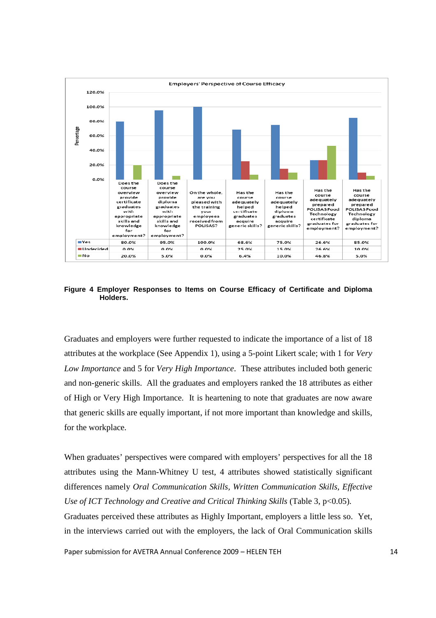

**Figure 4 Employer Responses to Items on Course Efficacy of Certificate and Diploma Holders.**

Graduates and employers were further requested to indicate the importance of a list of 18 attributes at the workplace (See Appendix 1), using a 5-point Likert scale; with 1 for *Very Low Importance* and 5 for *Very High Importance*. These attributes included both generic and non-generic skills. All the graduates and employers ranked the 18 attributes as either of High or Very High Importance. It is heartening to note that graduates are now aware that generic skills are equally important, if not more important than knowledge and skills, for the workplace.

When graduates' perspectives were compared with employers' perspectives for all the 18 attributes using the Mann-Whitney U test, 4 attributes showed statistically significant differences namely *Oral Communication Skills, Written Communication Skills, Effective Use of ICT Technology and Creative and Critical Thinking Skills (Table 3, p<0.05).* Graduates perceived these attributes as Highly Important, employers a little less so. Yet, in the interviews carried out with the employers, the lack of Oral Communication skills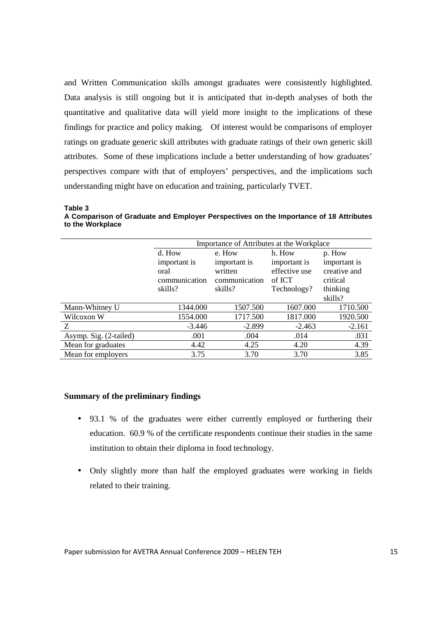and Written Communication skills amongst graduates were consistently highlighted. Data analysis is still ongoing but it is anticipated that in-depth analyses of both the quantitative and qualitative data will yield more insight to the implications of these findings for practice and policy making. Of interest would be comparisons of employer ratings on graduate generic skill attributes with graduate ratings of their own generic skill attributes. Some of these implications include a better understanding of how graduates' perspectives compare with that of employers' perspectives, and the implications such understanding might have on education and training, particularly TVET.

**Table 3** 

**A Comparison of Graduate and Employer Perspectives on the Importance of 18 Attributes to the Workplace** 

|                        | Importance of Attributes at the Workplace |                          |                         |                          |  |
|------------------------|-------------------------------------------|--------------------------|-------------------------|--------------------------|--|
|                        | d. How                                    | e. How                   | h. How                  | p. How                   |  |
|                        | important is                              | important is             | important is            | important is             |  |
|                        | oral<br>communication                     | written<br>communication | effective use<br>of ICT | creative and<br>critical |  |
|                        | skills?                                   | skills?                  | Technology?             | thinking                 |  |
|                        |                                           |                          |                         | skills?                  |  |
| Mann-Whitney U         | 1344.000                                  | 1507.500                 | 1607.000                | 1710.500                 |  |
| Wilcoxon W             | 1554.000                                  | 1717.500                 | 1817.000                | 1920.500                 |  |
| Z                      | $-3.446$                                  | $-2.899$                 | $-2.463$                | $-2.161$                 |  |
| Asymp. Sig. (2-tailed) | .001                                      | .004                     | .014                    | .031                     |  |
| Mean for graduates     | 4.42                                      | 4.25                     | 4.20                    | 4.39                     |  |
| Mean for employers     | 3.75                                      | 3.70                     | 3.70                    | 3.85                     |  |

# **Summary of the preliminary findings**

- 93.1 % of the graduates were either currently employed or furthering their education. 60.9 % of the certificate respondents continue their studies in the same institution to obtain their diploma in food technology.
- Only slightly more than half the employed graduates were working in fields related to their training.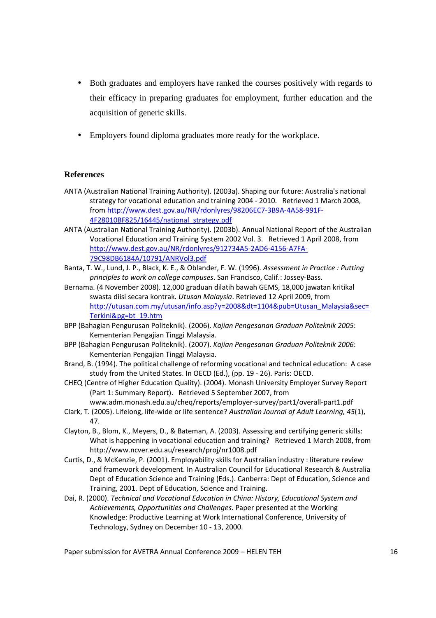- Both graduates and employers have ranked the courses positively with regards to their efficacy in preparing graduates for employment, further education and the acquisition of generic skills.
- Employers found diploma graduates more ready for the workplace.

# **References**

- ANTA (Australian National Training Authority). (2003a). Shaping our future: Australia's national strategy for vocational education and training 2004 - 2010. Retrieved 1 March 2008, from http://www.dest.gov.au/NR/rdonlyres/98206EC7-3B9A-4A58-991F-4F28010BF825/16445/national\_strategy.pdf
- ANTA (Australian National Training Authority). (2003b). Annual National Report of the Australian Vocational Education and Training System 2002 Vol. 3. Retrieved 1 April 2008, from http://www.dest.gov.au/NR/rdonlyres/912734A5-2AD6-4156-A7FA-79C98DB6184A/10791/ANRVol3.pdf
- Banta, T. W., Lund, J. P., Black, K. E., & Oblander, F. W. (1996). Assessment in Practice : Putting principles to work on college campuses. San Francisco, Calif.: Jossey-Bass.
- Bernama. (4 November 2008). 12,000 graduan dilatih bawah GEMS, 18,000 jawatan kritikal swasta diisi secara kontrak. Utusan Malaysia. Retrieved 12 April 2009, from http://utusan.com.my/utusan/info.asp?y=2008&dt=1104&pub=Utusan\_Malaysia&sec= Terkini&pg=bt\_19.htm
- BPP (Bahagian Pengurusan Politeknik). (2006). Kajian Pengesanan Graduan Politeknik 2005: Kementerian Pengajian Tinggi Malaysia.
- BPP (Bahagian Pengurusan Politeknik). (2007). Kajian Pengesanan Graduan Politeknik 2006: Kementerian Pengajian Tinggi Malaysia.
- Brand, B. (1994). The political challenge of reforming vocational and technical education: A case study from the United States. In OECD (Ed.), (pp. 19 - 26). Paris: OECD.
- CHEQ (Centre of Higher Education Quality). (2004). Monash University Employer Survey Report (Part 1: Summary Report). Retrieved 5 September 2007, from www.adm.monash.edu.au/cheq/reports/employer-survey/part1/overall-part1.pdf
- Clark, T. (2005). Lifelong, life-wide or life sentence? Australian Journal of Adult Learning, 45(1), 47.
- Clayton, B., Blom, K., Meyers, D., & Bateman, A. (2003). Assessing and certifying generic skills: What is happening in vocational education and training? Retrieved 1 March 2008, from http://www.ncver.edu.au/research/proj/nr1008.pdf
- Curtis, D., & McKenzie, P. (2001). Employability skills for Australian industry : literature review and framework development. In Australian Council for Educational Research & Australia Dept of Education Science and Training (Eds.). Canberra: Dept of Education, Science and Training, 2001. Dept of Education, Science and Training.
- Dai, R. (2000). Technical and Vocational Education in China: History, Educational System and Achievements, Opportunities and Challenges. Paper presented at the Working Knowledge: Productive Learning at Work International Conference, University of Technology, Sydney on December 10 - 13, 2000.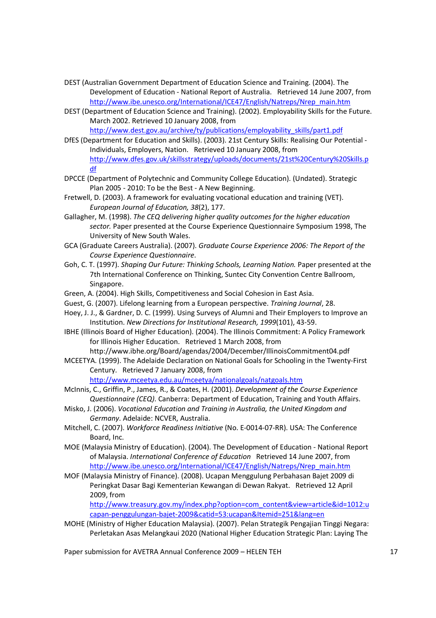- DEST (Australian Government Department of Education Science and Training. (2004). The Development of Education - National Report of Australia. Retrieved 14 June 2007, from http://www.ibe.unesco.org/International/ICE47/English/Natreps/Nrep\_main.htm
- DEST (Department of Education Science and Training). (2002). Employability Skills for the Future. March 2002. Retrieved 10 January 2008, from http://www.dest.gov.au/archive/ty/publications/employability\_skills/part1.pdf
- DfES (Department for Education and Skills). (2003). 21st Century Skills: Realising Our Potential Individuals, Employers, Nation. Retrieved 10 January 2008, from http://www.dfes.gov.uk/skillsstrategy/uploads/documents/21st%20Century%20Skills.p df
- DPCCE (Department of Polytechnic and Community College Education). (Undated). Strategic Plan 2005 - 2010: To be the Best - A New Beginning.
- Fretwell, D. (2003). A framework for evaluating vocational education and training (VET). European Journal of Education, 38(2), 177.
- Gallagher, M. (1998). The CEQ delivering higher quality outcomes for the higher education sector. Paper presented at the Course Experience Questionnaire Symposium 1998, The University of New South Wales.
- GCA (Graduate Careers Australia). (2007). Graduate Course Experience 2006: The Report of the Course Experience Questionnaire.
- Goh, C. T. (1997). Shaping Our Future: Thinking Schools, Learning Nation. Paper presented at the 7th International Conference on Thinking, Suntec City Convention Centre Ballroom, Singapore.
- Green, A. (2004). High Skills, Competitiveness and Social Cohesion in East Asia.
- Guest, G. (2007). Lifelong learning from a European perspective. Training Journal, 28.
- Hoey, J. J., & Gardner, D. C. (1999). Using Surveys of Alumni and Their Employers to Improve an Institution. New Directions for Institutional Research, 1999(101), 43-59.
- IBHE (Illinois Board of Higher Education). (2004). The Illinois Commitment: A Policy Framework for Illinois Higher Education. Retrieved 1 March 2008, from http://www.ibhe.org/Board/agendas/2004/December/IllinoisCommitment04.pdf
- MCEETYA. (1999). The Adelaide Declaration on National Goals for Schooling in the Twenty-First Century. Retrieved 7 January 2008, from

http://www.mceetya.edu.au/mceetya/nationalgoals/natgoals.htm

- McInnis, C., Griffin, P., James, R., & Coates, H. (2001). Development of the Course Experience Questionnaire (CEQ). Canberra: Department of Education, Training and Youth Affairs.
- Misko, J. (2006). Vocational Education and Training in Australia, the United Kingdom and Germany. Adelaide: NCVER, Australia.
- Mitchell, C. (2007). Workforce Readiness Initiative (No. E-0014-07-RR). USA: The Conference Board, Inc.
- MOE (Malaysia Ministry of Education). (2004). The Development of Education National Report of Malaysia. International Conference of Education Retrieved 14 June 2007, from http://www.ibe.unesco.org/International/ICE47/English/Natreps/Nrep\_main.htm
- MOF (Malaysia Ministry of Finance). (2008). Ucapan Menggulung Perbahasan Bajet 2009 di Peringkat Dasar Bagi Kementerian Kewangan di Dewan Rakyat. Retrieved 12 April 2009, from

http://www.treasury.gov.my/index.php?option=com\_content&view=article&id=1012:u capan-penggulungan-bajet-2009&catid=53:ucapan&Itemid=251&lang=en

MOHE (Ministry of Higher Education Malaysia). (2007). Pelan Strategik Pengajian Tinggi Negara: Perletakan Asas Melangkaui 2020 (National Higher Education Strategic Plan: Laying The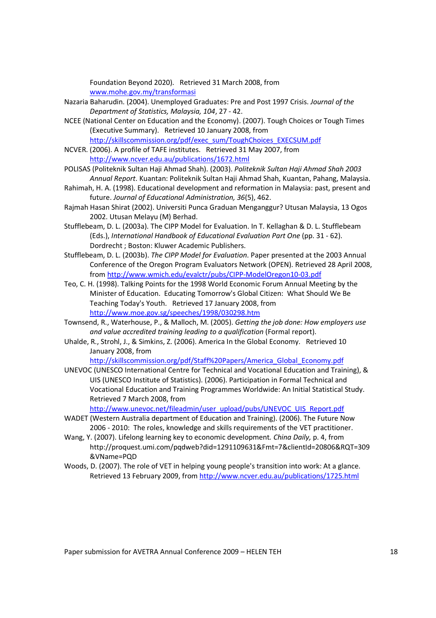Foundation Beyond 2020). Retrieved 31 March 2008, from www.mohe.gov.my/transformasi

- Nazaria Baharudin. (2004). Unemployed Graduates: Pre and Post 1997 Crisis. Journal of the Department of Statistics, Malaysia, 104, 27 - 42.
- NCEE (National Center on Education and the Economy). (2007). Tough Choices or Tough Times (Executive Summary). Retrieved 10 January 2008, from http://skillscommission.org/pdf/exec\_sum/ToughChoices\_EXECSUM.pdf
- NCVER. (2006). A profile of TAFE institutes. Retrieved 31 May 2007, from http://www.ncver.edu.au/publications/1672.html
- POLISAS (Politeknik Sultan Haji Ahmad Shah). (2003). Politeknik Sultan Haji Ahmad Shah 2003 Annual Report. Kuantan: Politeknik Sultan Haji Ahmad Shah, Kuantan, Pahang, Malaysia.
- Rahimah, H. A. (1998). Educational development and reformation in Malaysia: past, present and future. Journal of Educational Administration, 36(5), 462.
- Rajmah Hasan Shirat (2002). Universiti Punca Graduan Menganggur? Utusan Malaysia, 13 Ogos 2002. Utusan Melayu (M) Berhad.
- Stufflebeam, D. L. (2003a). The CIPP Model for Evaluation. In T. Kellaghan & D. L. Stufflebeam (Eds.), International Handbook of Educational Evaluation Part One (pp. 31 - 62). Dordrecht ; Boston: Kluwer Academic Publishers.
- Stufflebeam, D. L. (2003b). The CIPP Model for Evaluation. Paper presented at the 2003 Annual Conference of the Oregon Program Evaluators Network (OPEN). Retrieved 28 April 2008, from http://www.wmich.edu/evalctr/pubs/CIPP-ModelOregon10-03.pdf
- Teo, C. H. (1998). Talking Points for the 1998 World Economic Forum Annual Meeting by the Minister of Education. Educating Tomorrow's Global Citizen: What Should We Be Teaching Today's Youth. Retrieved 17 January 2008, from http://www.moe.gov.sg/speeches/1998/030298.htm
- Townsend, R., Waterhouse, P., & Malloch, M. (2005). Getting the job done: How employers use and value accredited training leading to a qualification (Formal report).
- Uhalde, R., Strohl, J., & Simkins, Z. (2006). America In the Global Economy. Retrieved 10 January 2008, from

http://skillscommission.org/pdf/Staff%20Papers/America\_Global\_Economy.pdf

UNEVOC (UNESCO International Centre for Technical and Vocational Education and Training), & UIS (UNESCO Institute of Statistics). (2006). Participation in Formal Technical and Vocational Education and Training Programmes Worldwide: An Initial Statistical Study. Retrieved 7 March 2008, from

http://www.unevoc.net/fileadmin/user\_upload/pubs/UNEVOC\_UIS\_Report.pdf

- WADET (Western Australia department of Education and Training). (2006). The Future Now 2006 - 2010: The roles, knowledge and skills requirements of the VET practitioner.
- Wang, Y. (2007). Lifelong learning key to economic development. China Daily, p. 4, from http://proquest.umi.com/pqdweb?did=1291109631&Fmt=7&clientId=20806&RQT=309 &VName=PQD
- Woods, D. (2007). The role of VET in helping young people's transition into work: At a glance. Retrieved 13 February 2009, from http://www.ncver.edu.au/publications/1725.html